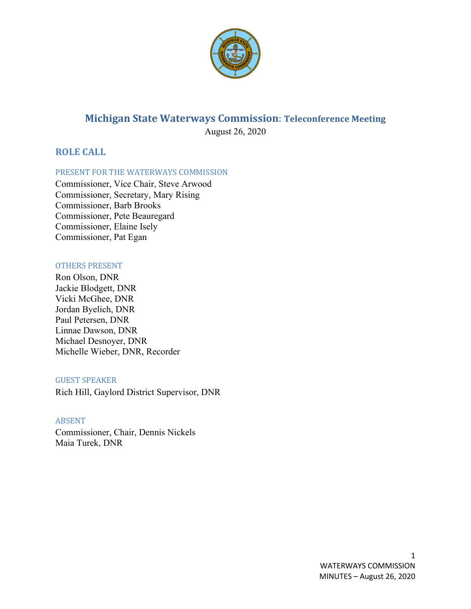

# **Michigan State Waterways Commission**: **Teleconference Meeting** August 26, 2020

**ROLE CALL**

PRESENT FOR THE WATERWAYS COMMISSION

Commissioner, Vice Chair, Steve Arwood Commissioner, Secretary, Mary Rising Commissioner, Barb Brooks Commissioner, Pete Beauregard Commissioner, Elaine Isely Commissioner, Pat Egan

## OTHERS PRESENT

Ron Olson, DNR Jackie Blodgett, DNR Vicki McGhee, DNR Jordan Byelich, DNR Paul Petersen, DNR Linnae Dawson, DNR Michael Desnoyer, DNR Michelle Wieber, DNR, Recorder

## GUEST SPEAKER

Rich Hill, Gaylord District Supervisor, DNR

## ABSENT

Commissioner, Chair, Dennis Nickels Maia Turek, DNR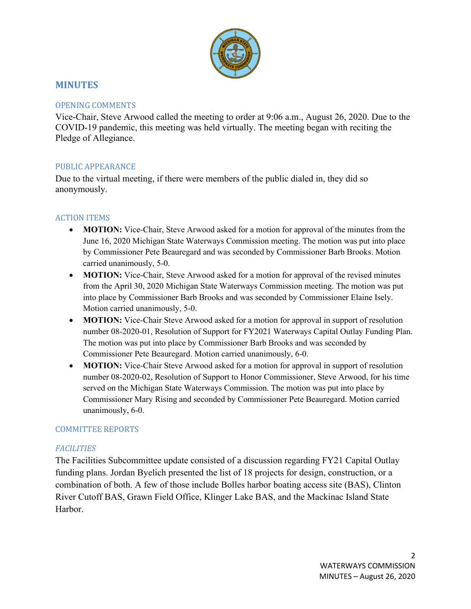

# **MINUTES**

## OPENING COMMENTS

Vice-Chair, Steve Arwood called the meeting to order at 9:06 a.m., August 26, 2020. Due to the COVID-19 pandemic, this meeting was held virtually. The meeting began with reciting the Pledge of Allegiance.

# PUBLIC APPEARANCE

Due to the virtual meeting, if there were members of the public dialed in, they did so anonymously.

# ACTION ITEMS

- **MOTION:** Vice-Chair, Steve Arwood asked for a motion for approval of the minutes from the June 16, 2020 Michigan State Waterways Commission meeting. The motion was put into place by Commissioner Pete Beauregard and was seconded by Commissioner Barb Brooks. Motion carried unanimously, 5-0.
- **MOTION:** Vice-Chair, Steve Arwood asked for a motion for approval of the revised minutes from the April 30, 2020 Michigan State Waterways Commission meeting. The motion was put into place by Commissioner Barb Brooks and was seconded by Commissioner Elaine Isely. Motion carried unanimously, 5-0.
- **MOTION:** Vice-Chair Steve Arwood asked for a motion for approval in support of resolution number 08-2020-01, Resolution of Support for FY2021 Waterways Capital Outlay Funding Plan. The motion was put into place by Commissioner Barb Brooks and was seconded by Commissioner Pete Beauregard. Motion carried unanimously, 6-0.
- **MOTION:** Vice-Chair Steve Arwood asked for a motion for approval in support of resolution number 08-2020-02, Resolution of Support to Honor Commissioner, Steve Arwood, for his time served on the Michigan State Waterways Commission. The motion was put into place by Commissioner Mary Rising and seconded by Commissioner Pete Beauregard. Motion carried unanimously, 6-0.

## COMMITTEE REPORTS

# *FACILITIES*

The Facilities Subcommittee update consisted of a discussion regarding FY21 Capital Outlay funding plans. Jordan Byelich presented the list of 18 projects for design, construction, or a combination of both. A few of those include Bolles harbor boating access site (BAS), Clinton River Cutoff BAS, Grawn Field Office, Klinger Lake BAS, and the Mackinac Island State Harbor.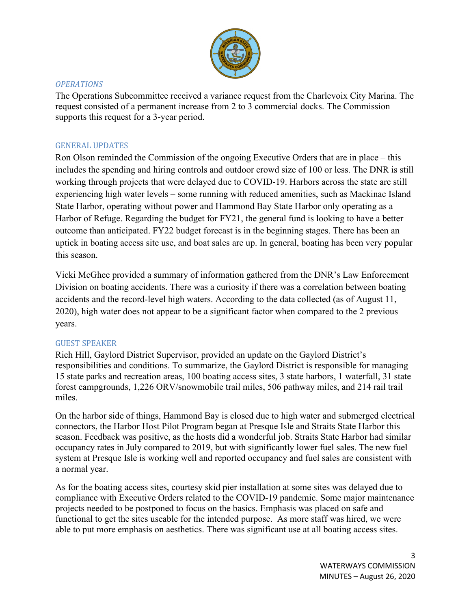

## *OPERATIONS*

The Operations Subcommittee received a variance request from the Charlevoix City Marina. The request consisted of a permanent increase from 2 to 3 commercial docks. The Commission supports this request for a 3-year period.

# GENERAL UPDATES

Ron Olson reminded the Commission of the ongoing Executive Orders that are in place – this includes the spending and hiring controls and outdoor crowd size of 100 or less. The DNR is still working through projects that were delayed due to COVID-19. Harbors across the state are still experiencing high water levels – some running with reduced amenities, such as Mackinac Island State Harbor, operating without power and Hammond Bay State Harbor only operating as a Harbor of Refuge. Regarding the budget for FY21, the general fund is looking to have a better outcome than anticipated. FY22 budget forecast is in the beginning stages. There has been an uptick in boating access site use, and boat sales are up. In general, boating has been very popular this season.

Vicki McGhee provided a summary of information gathered from the DNR's Law Enforcement Division on boating accidents. There was a curiosity if there was a correlation between boating accidents and the record-level high waters. According to the data collected (as of August 11, 2020), high water does not appear to be a significant factor when compared to the 2 previous years.

## GUEST SPEAKER

Rich Hill, Gaylord District Supervisor, provided an update on the Gaylord District's responsibilities and conditions. To summarize, the Gaylord District is responsible for managing 15 state parks and recreation areas, 100 boating access sites, 3 state harbors, 1 waterfall, 31 state forest campgrounds, 1,226 ORV/snowmobile trail miles, 506 pathway miles, and 214 rail trail miles.

On the harbor side of things, Hammond Bay is closed due to high water and submerged electrical connectors, the Harbor Host Pilot Program began at Presque Isle and Straits State Harbor this season. Feedback was positive, as the hosts did a wonderful job. Straits State Harbor had similar occupancy rates in July compared to 2019, but with significantly lower fuel sales. The new fuel system at Presque Isle is working well and reported occupancy and fuel sales are consistent with a normal year.

As for the boating access sites, courtesy skid pier installation at some sites was delayed due to compliance with Executive Orders related to the COVID-19 pandemic. Some major maintenance projects needed to be postponed to focus on the basics. Emphasis was placed on safe and functional to get the sites useable for the intended purpose. As more staff was hired, we were able to put more emphasis on aesthetics. There was significant use at all boating access sites.